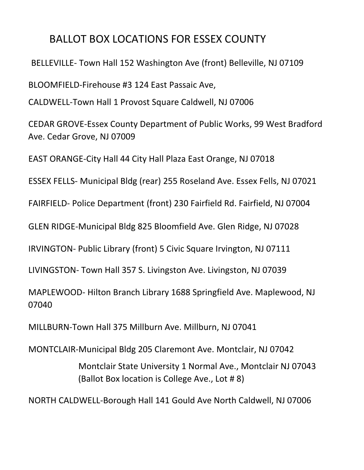## BALLOT BOX LOCATIONS FOR ESSEX COUNTY

BELLEVILLE- Town Hall 152 Washington Ave (front) Belleville, NJ 07109

BLOOMFIELD-Firehouse #3 124 East Passaic Ave,

CALDWELL-Town Hall 1 Provost Square Caldwell, NJ 07006

CEDAR GROVE-Essex County Department of Public Works, 99 West Bradford Ave. Cedar Grove, NJ 07009

EAST ORANGE-City Hall 44 City Hall Plaza East Orange, NJ 07018

ESSEX FELLS- Municipal Bldg (rear) 255 Roseland Ave. Essex Fells, NJ 07021

FAIRFIELD- Police Department (front) 230 Fairfield Rd. Fairfield, NJ 07004

GLEN RIDGE-Municipal Bldg 825 Bloomfield Ave. Glen Ridge, NJ 07028

IRVINGTON- Public Library (front) 5 Civic Square Irvington, NJ 07111

LIVINGSTON- Town Hall 357 S. Livingston Ave. Livingston, NJ 07039

MAPLEWOOD- Hilton Branch Library 1688 Springfield Ave. Maplewood, NJ 07040

MILLBURN-Town Hall 375 Millburn Ave. Millburn, NJ 07041

MONTCLAIR-Municipal Bldg 205 Claremont Ave. Montclair, NJ 07042

Montclair State University 1 Normal Ave., Montclair NJ 07043 (Ballot Box location is College Ave., Lot # 8)

NORTH CALDWELL-Borough Hall 141 Gould Ave North Caldwell, NJ 07006